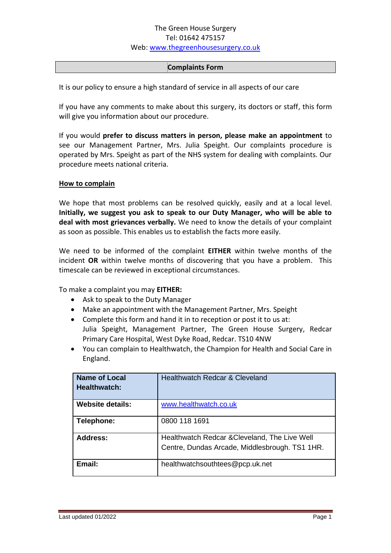#### **Complaints Form**

It is our policy to ensure a high standard of service in all aspects of our care

If you have any comments to make about this surgery, its doctors or staff, this form will give you information about our procedure.

If you would **prefer to discuss matters in person, please make an appointment** to see our Management Partner, Mrs. Julia Speight. Our complaints procedure is operated by Mrs. Speight as part of the NHS system for dealing with complaints. Our procedure meets national criteria.

#### **How to complain**

We hope that most problems can be resolved quickly, easily and at a local level. **Initially, we suggest you ask to speak to our Duty Manager, who will be able to deal with most grievances verbally.** We need to know the details of your complaint as soon as possible. This enables us to establish the facts more easily.

We need to be informed of the complaint **EITHER** within twelve months of the incident **OR** within twelve months of discovering that you have a problem. This timescale can be reviewed in exceptional circumstances.

To make a complaint you may **EITHER:** 

- Ask to speak to the Duty Manager
- Make an appointment with the Management Partner, Mrs. Speight
- Complete this form and hand it in to reception or post it to us at: Julia Speight, Management Partner, The Green House Surgery, Redcar Primary Care Hospital, West Dyke Road, Redcar. TS10 4NW
- You can complain to Healthwatch, the Champion for Health and Social Care in England.

| <b>Name of Local</b><br>Healthwatch: | Healthwatch Redcar & Cleveland                                                                  |  |
|--------------------------------------|-------------------------------------------------------------------------------------------------|--|
| <b>Website details:</b>              | www.healthwatch.co.uk                                                                           |  |
| Telephone:                           | 0800 118 1691                                                                                   |  |
| Address:                             | Healthwatch Redcar & Cleveland, The Live Well<br>Centre, Dundas Arcade, Middlesbrough. TS1 1HR. |  |
| Email:                               | healthwatchsouthtees@pcp.uk.net                                                                 |  |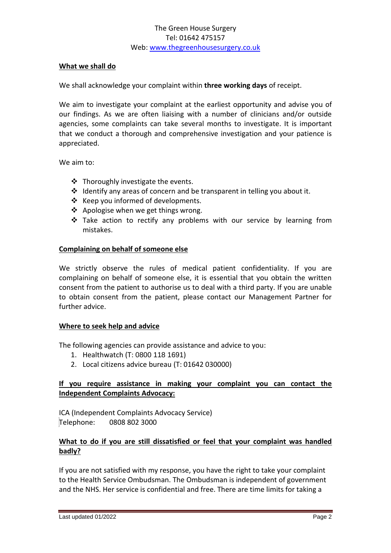#### **What we shall do**

We shall acknowledge your complaint within **three working days** of receipt.

We aim to investigate your complaint at the earliest opportunity and advise you of our findings. As we are often liaising with a number of clinicians and/or outside agencies, some complaints can take several months to investigate. It is important that we conduct a thorough and comprehensive investigation and your patience is appreciated.

We aim to:

- ❖ Thoroughly investigate the events.
- ❖ Identify any areas of concern and be transparent in telling you about it.
- ❖ Keep you informed of developments.
- ❖ Apologise when we get things wrong.
- ❖ Take action to rectify any problems with our service by learning from mistakes.

#### **Complaining on behalf of someone else**

We strictly observe the rules of medical patient confidentiality. If you are complaining on behalf of someone else, it is essential that you obtain the written consent from the patient to authorise us to deal with a third party. If you are unable to obtain consent from the patient, please contact our Management Partner for further advice.

#### **Where to seek help and advice**

The following agencies can provide assistance and advice to you:

- 1. Healthwatch (T: 0800 118 1691)
- 2. Local citizens advice bureau (T: 01642 030000)

## **If you require assistance in making your complaint you can contact the Independent Complaints Advocacy:**

ICA (Independent Complaints Advocacy Service) Telephone: 0808 802 3000

### **What to do if you are still dissatisfied or feel that your complaint was handled badly?**

If you are not satisfied with my response, you have the right to take your complaint to the Health Service Ombudsman. The Ombudsman is independent of government and the NHS. Her service is confidential and free. There are time limits for taking a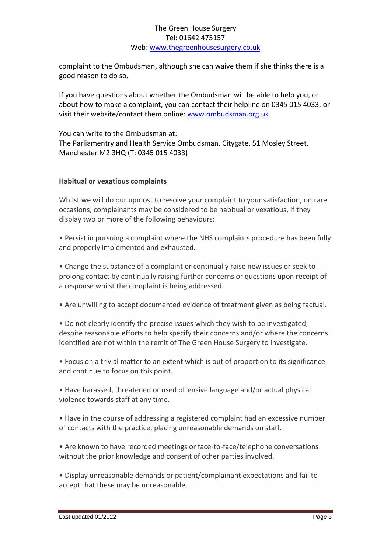complaint to the Ombudsman, although she can waive them if she thinks there is a good reason to do so.

If you have questions about whether the Ombudsman will be able to help you, or about how to make a complaint, you can contact their helpline on 0345 015 4033, or visit their website/contact them online: [www.ombudsman.org.uk](http://www.ombudsman.org.uk/)

You can write to the Ombudsman at: The Parliamentry and Health Service Ombudsman, Citygate, 51 Mosley Street, Manchester M2 3HQ (T: 0345 015 4033)

### **Habitual or vexatious complaints**

Whilst we will do our upmost to resolve your complaint to your satisfaction, on rare occasions, complainants may be considered to be habitual or vexatious, if they display two or more of the following behaviours:

• Persist in pursuing a complaint where the NHS complaints procedure has been fully and properly implemented and exhausted.

• Change the substance of a complaint or continually raise new issues or seek to prolong contact by continually raising further concerns or questions upon receipt of a response whilst the complaint is being addressed.

• Are unwilling to accept documented evidence of treatment given as being factual.

• Do not clearly identify the precise issues which they wish to be investigated, despite reasonable efforts to help specify their concerns and/or where the concerns identified are not within the remit of The Green House Surgery to investigate.

• Focus on a trivial matter to an extent which is out of proportion to its significance and continue to focus on this point.

• Have harassed, threatened or used offensive language and/or actual physical violence towards staff at any time.

• Have in the course of addressing a registered complaint had an excessive number of contacts with the practice, placing unreasonable demands on staff.

• Are known to have recorded meetings or face-to-face/telephone conversations without the prior knowledge and consent of other parties involved.

• Display unreasonable demands or patient/complainant expectations and fail to accept that these may be unreasonable.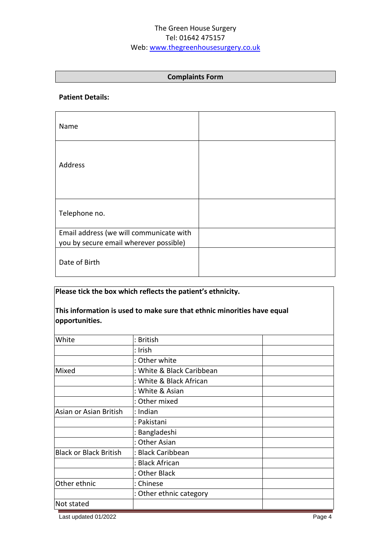### **Complaints Form**

#### **Patient Details:**

| Name                                                                              |  |
|-----------------------------------------------------------------------------------|--|
| Address                                                                           |  |
| Telephone no.                                                                     |  |
| Email address (we will communicate with<br>you by secure email wherever possible) |  |
| Date of Birth                                                                     |  |

# **Please tick the box which reflects the patient's ethnicity.**

# **This information is used to make sure that ethnic minorities have equal opportunities.**

| White                         | : British                 |  |
|-------------------------------|---------------------------|--|
|                               | : Irish                   |  |
|                               | : Other white             |  |
| Mixed                         | : White & Black Caribbean |  |
|                               | : White & Black African   |  |
|                               | : White & Asian           |  |
|                               | : Other mixed             |  |
| Asian or Asian British        | : Indian                  |  |
|                               | : Pakistani               |  |
|                               | : Bangladeshi             |  |
|                               | : Other Asian             |  |
| <b>Black or Black British</b> | : Black Caribbean         |  |
|                               | : Black African           |  |
|                               | : Other Black             |  |
| Other ethnic                  | : Chinese                 |  |
|                               | : Other ethnic category   |  |
| Not stated                    |                           |  |
|                               |                           |  |

Last updated 01/2022 Page 4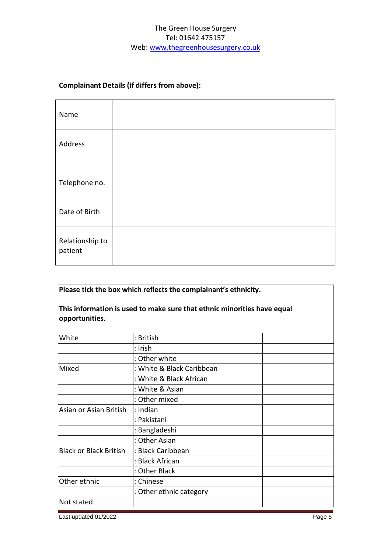# **Complainant Details (if differs from above):**

| Name                       |  |
|----------------------------|--|
| Address                    |  |
| Telephone no.              |  |
| Date of Birth              |  |
| Relationship to<br>patient |  |

# **Please tick the box which reflects the complainant's ethnicity.**

# **This information is used to make sure that ethnic minorities have equal opportunities.**

| White                         | : British                 |  |
|-------------------------------|---------------------------|--|
|                               | : Irish                   |  |
|                               | : Other white             |  |
| Mixed                         | : White & Black Caribbean |  |
|                               | : White & Black African   |  |
|                               | : White & Asian           |  |
|                               | : Other mixed             |  |
| Asian or Asian British        | : Indian                  |  |
|                               | : Pakistani               |  |
|                               | : Bangladeshi             |  |
|                               | : Other Asian             |  |
| <b>Black or Black British</b> | : Black Caribbean         |  |
|                               | : Black African           |  |
|                               | : Other Black             |  |
| Other ethnic                  | : Chinese                 |  |
|                               | : Other ethnic category   |  |
| Not stated                    |                           |  |

Last updated 01/2022 Page 5